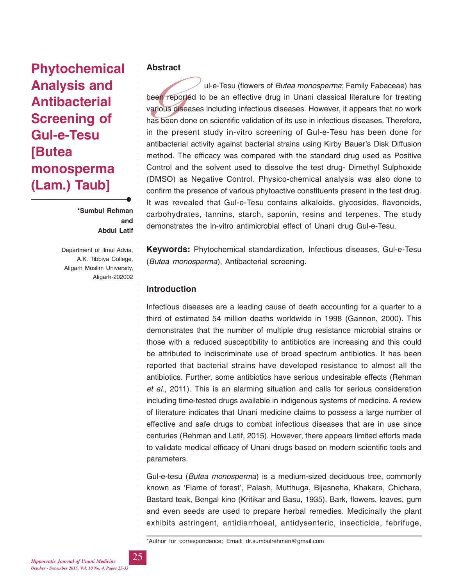# **Phytochemical Analysis and Antibacterial Screening of Gul-e-Tesu [Butea monosperma (Lam.) Taub]**

**\*Sumbul Rehman and Abdul Latif**

Department of Ilmul Advia, A.K. Tibbiya College, Aligarh Muslim University, Aligarh-202002

## **Abstract**

been rep<br>various<br>has beer<br>in the p ul-e-Tesu (flowers of *Butea monosperma*; Family Fabaceae) has been reported to be an effective drug in Unani classical literature for treating various diseases including infectious diseases. However, it appears that no work has been done on scientific validation of its use in infectious diseases. Therefore, in the present study in-vitro screening of Gul-e-Tesu has been done for antibacterial activity against bacterial strains using Kirby Bauer's Disk Diffusion method. The efficacy was compared with the standard drug used as Positive Control and the solvent used to dissolve the test drug- Dimethyl Sulphoxide (DMSO) as Negative Control. Physico-chemical analysis was also done to confirm the presence of various phytoactive constituents present in the test drug. It was revealed that Gul-e-Tesu contains alkaloids, glycosides, flavonoids, carbohydrates, tannins, starch, saponin, resins and terpenes. The study demonstrates the in-vitro antimicrobial effect of Unani drug Gul-e-Tesu.

**Keywords:** Phytochemical standardization, Infectious diseases, Gul-e-Tesu (*Butea monosperma*), Antibacterial screening.

# **Introduction**

Infectious diseases are a leading cause of death accounting for a quarter to a third of estimated 54 million deaths worldwide in 1998 (Gannon, 2000). This demonstrates that the number of multiple drug resistance microbial strains or those with a reduced susceptibility to antibiotics are increasing and this could be attributed to indiscriminate use of broad spectrum antibiotics. It has been reported that bacterial strains have developed resistance to almost all the antibiotics. Further, some antibiotics have serious undesirable effects (Rehman *et al*., 2011). This is an alarming situation and calls for serious consideration including time-tested drugs available in indigenous systems of medicine. A review of literature indicates that Unani medicine claims to possess a large number of effective and safe drugs to combat infectious diseases that are in use since centuries (Rehman and Latif, 2015). However, there appears limited efforts made to validate medical efficacy of Unani drugs based on modern scientific tools and parameters.

Gul-e-tesu (*Butea monosperma*) is a medium-sized deciduous tree, commonly known as 'Flame of forest', Palash, Mutthuga, Bijasneha, Khakara, Chichara, Bastard teak, Bengal kino (Kritikar and Basu, 1935). Bark, flowers, leaves, gum and even seeds are used to prepare herbal remedies. Medicinally the plant exhibits astringent, antidiarrhoeal, antidysenteric, insecticide, febrifuge,

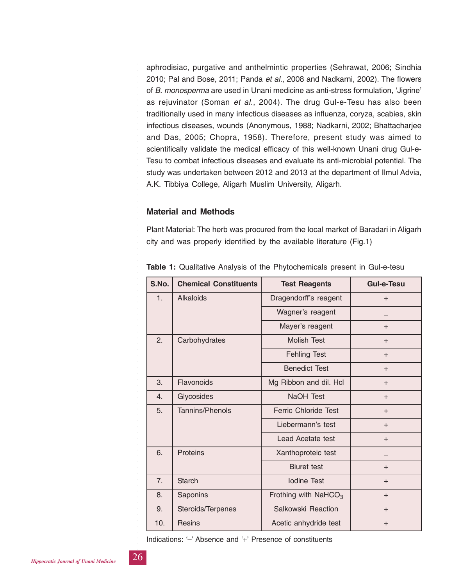aphrodisiac, purgative and anthelmintic properties (Sehrawat, 2006; Sindhia 2010; Pal and Bose, 2011; Panda *et al*., 2008 and Nadkarni, 2002). The flowers of *B. monosperma* are used in Unani medicine as anti-stress formulation, 'Jigrine' as rejuvinator (Soman *et al*., 2004). The drug Gul-e-Tesu has also been traditionally used in many infectious diseases as influenza, coryza, scabies, skin infectious diseases, wounds (Anonymous, 1988; Nadkarni, 2002; Bhattacharjee and Das, 2005; Chopra, 1958). Therefore, present study was aimed to scientifically validate the medical efficacy of this well-known Unani drug Gul-e-Tesu to combat infectious diseases and evaluate its anti-microbial potential. The study was undertaken between 2012 and 2013 at the department of Ilmul Advia, A.K. Tibbiya College, Aligarh Muslim University, Aligarh.

## **Material and Methods**

Plant Material: The herb was procured from the local market of Baradari in Aligarh city and was properly identified by the available literature (Fig.1)

| S.No. | <b>Chemical Constituents</b> | <b>Test Reagents</b>        | <b>Gul-e-Tesu</b> |
|-------|------------------------------|-----------------------------|-------------------|
| 1.    | <b>Alkaloids</b>             | Dragendorff's reagent       | $+$               |
|       |                              | Wagner's reagent            |                   |
|       | Mayer's reagent              |                             | $+$               |
| 2.    | Carbohydrates                | Molish Test                 | $+$               |
|       |                              | <b>Fehling Test</b>         | $+$               |
|       |                              | <b>Benedict Test</b>        | $+$               |
| 3.    | Flavonoids                   | Mg Ribbon and dil. Hcl      | $+$               |
| 4.    | Glycosides                   | NaOH Test                   | $+$               |
| 5.    | <b>Tannins/Phenols</b>       | <b>Ferric Chloride Test</b> | $+$               |
|       |                              | Liebermann's test           | $+$               |
|       |                              | Lead Acetate test           | $+$               |
| 6.    | Proteins                     | Xanthoproteic test          |                   |
|       |                              | <b>Biuret</b> test          | $+$               |
| 7.    | <b>Starch</b>                | <b>Iodine Test</b>          | $+$               |
| 8.    | Saponins                     | Frothing with $NafCO3$      | $+$               |
| 9.    | Steroids/Terpenes            | Salkowski Reaction          | $+$               |
| 10.   | <b>Resins</b>                | Acetic anhydride test       | $+$               |

**Table 1:** Qualitative Analysis of the Phytochemicals present in Gul-e-tesu

Indications: '–' Absence and '+' Presence of constituents

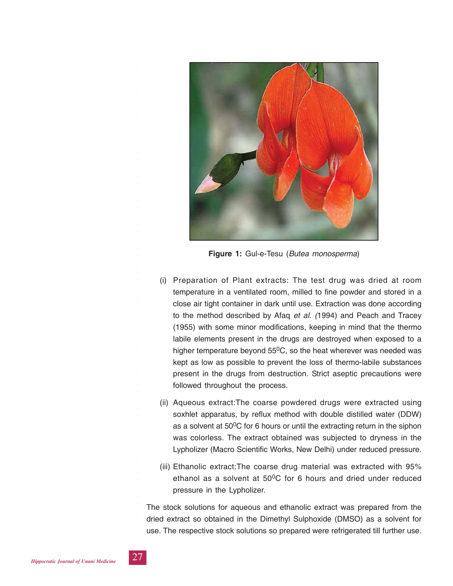

**Figure 1:** Gul-e-Tesu (*Butea monosperma*)

- (i) Preparation of Plant extracts: The test drug was dried at room temperature in a ventilated room, milled to fine powder and stored in a close air tight container in dark until use. Extraction was done according to the method described by Afaq *et al. (*1994) and Peach and Tracey (1955) with some minor modifications, keeping in mind that the thermo labile elements present in the drugs are destroyed when exposed to a higher temperature beyond  $55^0C$ , so the heat wherever was needed was kept as low as possible to prevent the loss of thermo-labile substances present in the drugs from destruction. Strict aseptic precautions were followed throughout the process.
- (ii) Aqueous extract:The coarse powdered drugs were extracted using soxhlet apparatus, by reflux method with double distilled water (DDW) as a solvent at  $50^0C$  for 6 hours or until the extracting return in the siphon was colorless. The extract obtained was subjected to dryness in the Lypholizer (Macro Scientific Works, New Delhi) under reduced pressure.
- (iii) Ethanolic extract:The coarse drug material was extracted with 95% ethanol as a solvent at  $50^{\circ}$ C for 6 hours and dried under reduced pressure in the Lypholizer.

The stock solutions for aqueous and ethanolic extract was prepared from the dried extract so obtained in the Dimethyl Sulphoxide (DMSO) as a solvent for use. The respective stock solutions so prepared were refrigerated till further use.

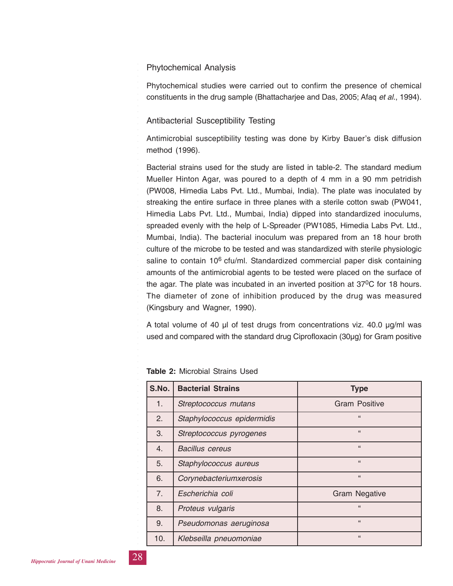## Phytochemical Analysis

Phytochemical studies were carried out to confirm the presence of chemical constituents in the drug sample (Bhattacharjee and Das, 2005; Afaq *et al.*, 1994).

## Antibacterial Susceptibility Testing

Antimicrobial susceptibility testing was done by Kirby Bauer's disk diffusion method (1996).

Bacterial strains used for the study are listed in table-2. The standard medium Mueller Hinton Agar, was poured to a depth of 4 mm in a 90 mm petridish (PW008, Himedia Labs Pvt. Ltd., Mumbai, India). The plate was inoculated by streaking the entire surface in three planes with a sterile cotton swab (PW041, Himedia Labs Pvt. Ltd., Mumbai, India) dipped into standardized inoculums, spreaded evenly with the help of L-Spreader (PW1085, Himedia Labs Pvt. Ltd., Mumbai, India). The bacterial inoculum was prepared from an 18 hour broth culture of the microbe to be tested and was standardized with sterile physiologic saline to contain 10<sup>6</sup> cfu/ml. Standardized commercial paper disk containing amounts of the antimicrobial agents to be tested were placed on the surface of the agar. The plate was incubated in an inverted position at 370C for 18 hours. The diameter of zone of inhibition produced by the drug was measured (Kingsbury and Wagner, 1990).

A total volume of 40 μl of test drugs from concentrations viz. 40.0 μg/ml was used and compared with the standard drug Ciprofloxacin (30μg) for Gram positive

| S.No. | <b>Bacterial Strains</b>   | <b>Type</b>          |  |
|-------|----------------------------|----------------------|--|
| 1.    | Streptococcus mutans       | Gram Positive        |  |
| 2.    | Staphylococcus epidermidis | 66                   |  |
| 3.    | Streptococcus pyrogenes    | 66                   |  |
| 4.    | <b>Bacillus cereus</b>     | 66                   |  |
| 5.    | Staphylococcus aureus      | 66                   |  |
| 6.    | Corynebacteriumxerosis     | 66                   |  |
| 7.    | Escherichia coli           | <b>Gram Negative</b> |  |
| 8.    | Proteus vulgaris           | 66                   |  |
| 9.    | Pseudomonas aeruginosa     | $\mathbf{G}$         |  |
| 10.   | Klebseilla pneuomoniae     | 66                   |  |

**Table 2:** Microbial Strains Used

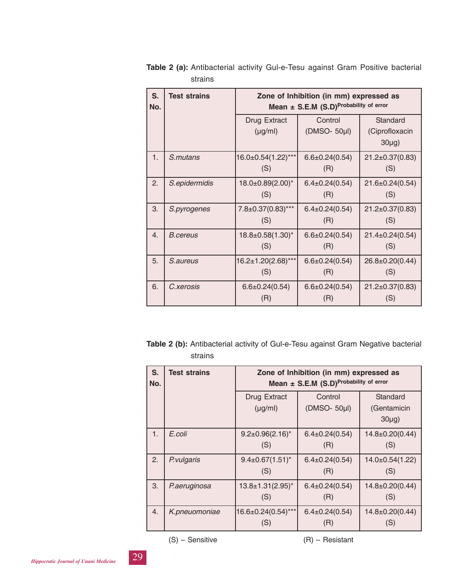| S.<br>No.        | <b>Test strains</b> | Zone of Inhibition (in mm) expressed as<br>Mean ± S.E.M (S.D)Probability of error |                             |                                        |
|------------------|---------------------|-----------------------------------------------------------------------------------|-----------------------------|----------------------------------------|
|                  |                     | Drug Extract<br>$(\mu g/ml)$                                                      | Control<br>(DMSO- 50µl)     | Standard<br>(Ciprofloxacin<br>$30\mug$ |
| 1.               | S.mutans            | 16.0±0.54(1.22)***<br>(S)                                                         | $6.6 \pm 0.24(0.54)$<br>(R) | $21.2 \pm 0.37(0.83)$<br>(S)           |
| 2.               | S.epidermidis       | 18.0±0.89(2.00)*<br>(S)                                                           | $6.4 \pm 0.24(0.54)$<br>(R) | 21.6±0.24(0.54)<br>(S)                 |
| 3.               | S.pyrogenes         | 7.8±0.37(0.83)***<br>(S)                                                          | $6.4 \pm 0.24(0.54)$<br>(R) | $21.2 \pm 0.37(0.83)$<br>(S)           |
| $\overline{4}$ . | <b>B</b> .cereus    | $18.8 \pm 0.58(1.30)^{*}$<br>(S)                                                  | $6.6 \pm 0.24(0.54)$<br>(R) | $21.4 \pm 0.24(0.54)$<br>(S)           |
| 5.               | S.aureus            | 16.2±1.20(2.68)***<br>(S)                                                         | $6.6 \pm 0.24(0.54)$<br>(R) | 26.8±0.20(0.44)<br>(S)                 |
| 6.               | C.xerosis           | $6.6 \pm 0.24(0.54)$<br>(R)                                                       | $6.6 \pm 0.24(0.54)$<br>(R) | $21.2 \pm 0.37(0.83)$<br>(S)           |

**Table 2 (a):** Antibacterial activity Gul-e-Tesu against Gram Positive bacterial strains

**Table 2 (b):** Antibacterial activity of Gul-e-Tesu against Gram Negative bacterial strains

| S.<br>No. | <b>Test strains</b> | Zone of Inhibition (in mm) expressed as<br>Mean $\pm$ S.E.M (S.D) <sup>Probability of error</sup> |                             |                                     |  |
|-----------|---------------------|---------------------------------------------------------------------------------------------------|-----------------------------|-------------------------------------|--|
|           |                     | Drug Extract<br>$(\mu g/ml)$                                                                      | Control<br>(DMSO- 50µl)     | Standard<br>(Gentamicin<br>$30\mug$ |  |
| 1.        | E.coli              | $9.2 \pm 0.96(2.16)^*$<br>(S)                                                                     | $6.4 \pm 0.24(0.54)$<br>(R) | 14.8±0.20(0.44)<br>(S)              |  |
| 2.        | P. vulgaris         | $9.4 \pm 0.67(1.51)^{*}$<br>(S)                                                                   | $6.4 \pm 0.24(0.54)$<br>(R) | $14.0 \pm 0.54(1.22)$<br>(S)        |  |
| 3.        | P.aeruginosa        | $13.8 \pm 1.31(2.95)^{*}$<br>(S)                                                                  | $6.4 \pm 0.24(0.54)$<br>(R) | 14.8±0.20(0.44)<br>(S)              |  |
| 4.        | K.pneuomoniae       | 16.6±0.24(0.54)***<br>(S)                                                                         | $6.4 \pm 0.24(0.54)$<br>(R) | 14.8±0.20(0.44)<br>(S)              |  |

*Hippocratic Journal of Unani Medicine* 29

○○○○○○○○○○○○○○○○○○○○○○○○○

(S) – Sensitive (R) – Resistant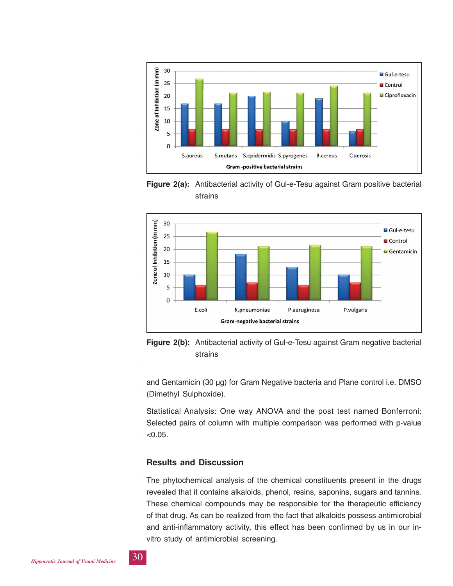

**Figure 2(a):** Antibacterial activity of Gul-e-Tesu against Gram positive bacterial strains





and Gentamicin (30 μg) for Gram Negative bacteria and Plane control i.e. DMSO (Dimethyl Sulphoxide).

Statistical Analysis: One way ANOVA and the post test named Bonferroni: Selected pairs of column with multiple comparison was performed with p-value  $< 0.05.$ 

## **Results and Discussion**

The phytochemical analysis of the chemical constituents present in the drugs revealed that it contains alkaloids, phenol, resins, saponins, sugars and tannins. These chemical compounds may be responsible for the therapeutic efficiency of that drug. As can be realized from the fact that alkaloids possess antimicrobial and anti-inflammatory activity, this effect has been confirmed by us in our invitro study of antimicrobial screening.

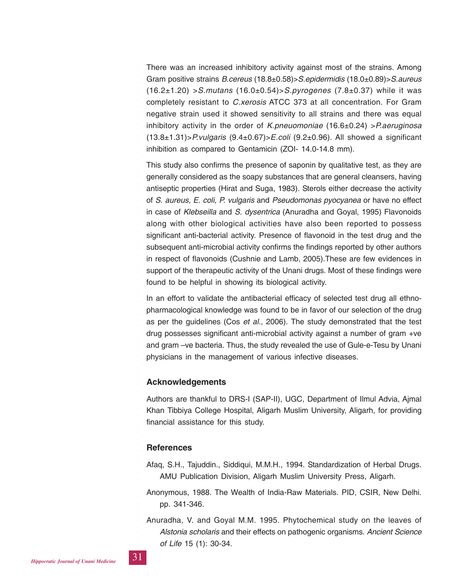There was an increased inhibitory activity against most of the strains. Among Gram positive strains *B.cereus* (18.8±0.58)>*S.epidermidis* (18.0±0.89)>*S.aureus* (16.2±1.20) >*S.mutans* (16.0±0.54)>*S.pyrogenes* (7.8±0.37) while it was completely resistant to *C.xerosis* ATCC 373 at all concentration. For Gram negative strain used it showed sensitivity to all strains and there was equal inhibitory activity in the order of *K.pneuomoniae* (16.6±0.24) >*P.aeruginosa* (13.8±1.31)>*P.vulgaris* (9.4±0.67)>*E.coli* (9.2±0.96). All showed a significant inhibition as compared to Gentamicin (ZOI- 14.0-14.8 mm).

This study also confirms the presence of saponin by qualitative test, as they are generally considered as the soapy substances that are general cleansers, having antiseptic properties (Hirat and Suga, 1983). Sterols either decrease the activity of *S. aureus, E. coli, P. vulgaris* and *Pseudomonas pyocyanea* or have no effect in case of *Klebseilla* and *S. dysentrica* (Anuradha and Goyal, 1995) Flavonoids along with other biological activities have also been reported to possess significant anti-bacterial activity. Presence of flavonoid in the test drug and the subsequent anti-microbial activity confirms the findings reported by other authors in respect of flavonoids (Cushnie and Lamb, 2005).These are few evidences in support of the therapeutic activity of the Unani drugs. Most of these findings were found to be helpful in showing its biological activity.

In an effort to validate the antibacterial efficacy of selected test drug all ethnopharmacological knowledge was found to be in favor of our selection of the drug as per the guidelines (Cos *et al*., 2006). The study demonstrated that the test drug possesses significant anti-microbial activity against a number of gram +ve and gram –ve bacteria. Thus, the study revealed the use of Gule-e-Tesu by Unani physicians in the management of various infective diseases.

#### **Acknowledgements**

Authors are thankful to DRS-I (SAP-II), UGC, Department of Ilmul Advia, Ajmal Khan Tibbiya College Hospital, Aligarh Muslim University, Aligarh, for providing financial assistance for this study.

#### **References**

Afaq, S.H., Tajuddin., Siddiqui, M.M.H., 1994. Standardization of Herbal Drugs. AMU Publication Division, Aligarh Muslim University Press, Aligarh.

- Anonymous, 1988. The Wealth of India-Raw Materials. PID, CSIR, New Delhi. pp. 341-346.
- Anuradha, V. and Goyal M.M. 1995. Phytochemical study on the leaves of *Alstonia scholaris* and their effects on pathogenic organisms. *Ancient Science of Life* 15 (1): 30-34.

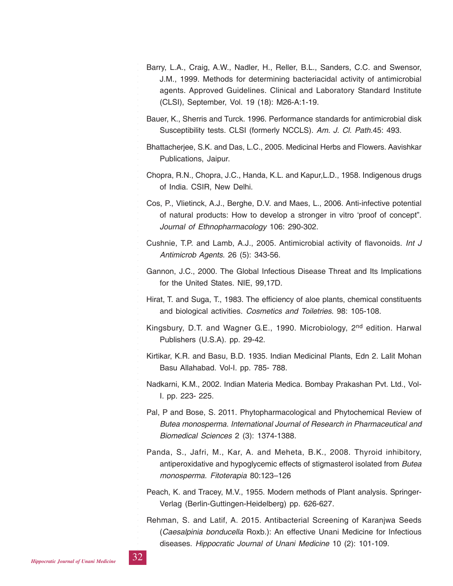- Barry, L.A., Craig, A.W., Nadler, H., Reller, B.L., Sanders, C.C. and Swensor, J.M., 1999. Methods for determining bacteriacidal activity of antimicrobial agents. Approved Guidelines. Clinical and Laboratory Standard Institute (CLSI), September, Vol. 19 (18): M26-A:1-19.
- Bauer, K., Sherris and Turck. 1996. Performance standards for antimicrobial disk Susceptibility tests. CLSI (formerly NCCLS). *Am. J. Cl. Path.*45: 493.
- Bhattacherjee, S.K. and Das, L.C., 2005. Medicinal Herbs and Flowers. Aavishkar Publications, Jaipur.
- Chopra, R.N., Chopra, J.C., Handa, K.L. and Kapur,L.D., 1958. Indigenous drugs of India. CSIR, New Delhi.
- Cos, P., Vlietinck, A.J., Berghe, D.V. and Maes, L., 2006. Anti-infective potential of natural products: How to develop a stronger in vitro 'proof of concept". *Journal of Ethnopharmacology* 106: 290-302.
- Cushnie, T.P. and Lamb, A.J., 2005. Antimicrobial activity of flavonoids. *Int J Antimicrob Agents*. 26 (5): 343-56.
- Gannon, J.C., 2000. The Global Infectious Disease Threat and Its Implications for the United States. NIE, 99,17D.
- Hirat, T. and Suga, T., 1983. The efficiency of aloe plants, chemical constituents and biological activities. *Cosmetics and Toiletries.* 98: 105-108.
- Kingsbury, D.T. and Wagner G.E., 1990. Microbiology, 2<sup>nd</sup> edition. Harwal Publishers (U.S.A). pp. 29-42.
- Kirtikar, K.R. and Basu, B.D. 1935. Indian Medicinal Plants, Edn 2. Lalit Mohan Basu Allahabad. Vol-I. pp. 785- 788.
- Nadkarni, K.M., 2002. Indian Materia Medica. Bombay Prakashan Pvt. Ltd., Vol-I. pp. 223- 225.
- Pal, P and Bose, S. 2011. Phytopharmacological and Phytochemical Review of *Butea monosperma*. *International Journal of Research in Pharmaceutical and Biomedical Sciences* 2 (3): 1374-1388.
- Panda, S., Jafri, M., Kar, A. and Meheta, B.K., 2008. Thyroid inhibitory, antiperoxidative and hypoglycemic effects of stigmasterol isolated from *Butea monosperma*. *Fitoterapia* 80:123–126
- Peach, K. and Tracey, M.V., 1955. Modern methods of Plant analysis. Springer-Verlag (Berlin-Guttingen-Heidelberg) pp. 626-627.
- Rehman, S. and Latif, A. 2015. Antibacterial Screening of Karanjwa Seeds (*Caesalpinia bonducella* Roxb.): An effective Unani Medicine for Infectious diseases. *Hippocratic Journal of Unani Medicine* 10 (2): 101-109.